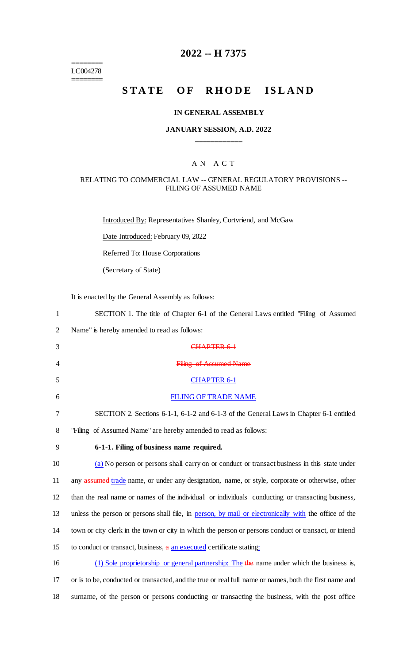======== LC004278 ========

# **2022 -- H 7375**

# **STATE OF RHODE ISLAND**

#### **IN GENERAL ASSEMBLY**

## **JANUARY SESSION, A.D. 2022 \_\_\_\_\_\_\_\_\_\_\_\_**

### A N A C T

#### RELATING TO COMMERCIAL LAW -- GENERAL REGULATORY PROVISIONS -- FILING OF ASSUMED NAME

Introduced By: Representatives Shanley, Cortvriend, and McGaw

Date Introduced: February 09, 2022

Referred To: House Corporations

(Secretary of State)

It is enacted by the General Assembly as follows:

| $\mathbf{1}$   | SECTION 1. The title of Chapter 6-1 of the General Laws entitled "Filing of Assumed"                   |
|----------------|--------------------------------------------------------------------------------------------------------|
| $\overline{2}$ | Name" is hereby amended to read as follows:                                                            |
| 3              | CHAPTER 6-1                                                                                            |
| 4              | <b>Filing of Assumed Name</b>                                                                          |
| 5              | <b>CHAPTER 6-1</b>                                                                                     |
| 6              | <b>FILING OF TRADE NAME</b>                                                                            |
| 7              | SECTION 2. Sections 6-1-1, 6-1-2 and 6-1-3 of the General Laws in Chapter 6-1 entitled                 |
| 8              | "Filing of Assumed Name" are hereby amended to read as follows:                                        |
| 9              | 6-1-1. Filing of business name required.                                                               |
| 10             | (a) No person or persons shall carry on or conduct or transact business in this state under            |
| 11             | any assumed trade name, or under any designation, name, or style, corporate or otherwise, other        |
| 12             | than the real name or names of the individual or individuals conducting or transacting business,       |
| 13             | unless the person or persons shall file, in person, by mail or electronically with the office of the   |
| 14             | town or city clerk in the town or city in which the person or persons conduct or transact, or intend   |
| 15             | to conduct or transact, business, a an executed certificate stating:                                   |
| 16             | (1) Sole proprietorship or general partnership: The the name under which the business is,              |
| 17             | or is to be, conducted or transacted, and the true or real full name or names, both the first name and |
| 18             | surname, of the person or persons conducting or transacting the business, with the post office         |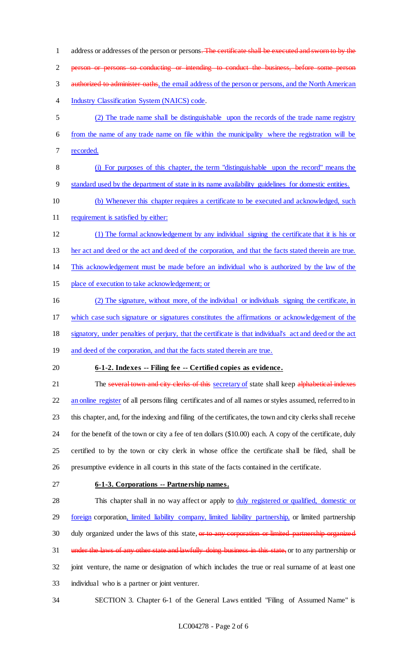1 address or addresses of the person or persons. The certificate shall be executed and sworn to by the person or persons so conducting or intending to conduct the business, before some person 3 authorized to administer oaths, the email address of the person or persons, and the North American Industry Classification System (NAICS) code. (2) The trade name shall be distinguishable upon the records of the trade name registry from the name of any trade name on file within the municipality where the registration will be recorded. (i) For purposes of this chapter, the term "distinguishable upon the record" means the standard used by the department of state in its name availability guidelines for domestic entities. (b) Whenever this chapter requires a certificate to be executed and acknowledged, such 11 requirement is satisfied by either: (1) The formal acknowledgement by any individual signing the certificate that it is his or her act and deed or the act and deed of the corporation, and that the facts stated therein are true. This acknowledgement must be made before an individual who is authorized by the law of the place of execution to take acknowledgement; or (2) The signature, without more, of the individual or individuals signing the certificate, in which case such signature or signatures constitutes the affirmations or acknowledgement of the signatory, under penalties of perjury, that the certificate is that individual's act and deed or the act 19 and deed of the corporation, and that the facts stated therein are true. **6-1-2. Indexes -- Filing fee -- Certified copies as evidence.** 21 The several town and city clerks of this secretary of state shall keep alphabetical indexes 22 an online register of all persons filing certificates and of all names or styles assumed, referred to in this chapter, and, for the indexing and filing of the certificates, the town and city clerks shall receive for the benefit of the town or city a fee of ten dollars (\$10.00) each. A copy of the certificate, duly certified to by the town or city clerk in whose office the certificate shall be filed, shall be presumptive evidence in all courts in this state of the facts contained in the certificate. **6-1-3. Corporations -- Partnership names.** 28 This chapter shall in no way affect or apply to duly registered or qualified, domestic or 29 foreign corporation, limited liability company, limited liability partnership, or limited partnership 30 duly organized under the laws of this state, or to any corporation or limited partnership organized 31 under the laws of any other state and lawfully doing business in this state, or to any partnership or joint venture, the name or designation of which includes the true or real surname of at least one individual who is a partner or joint venturer.

SECTION 3. Chapter 6-1 of the General Laws entitled "Filing of Assumed Name" is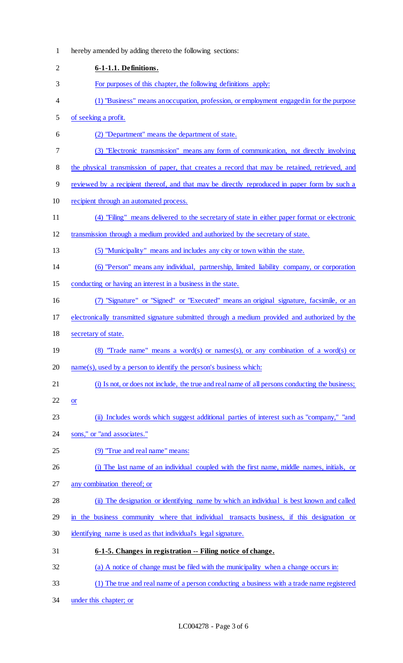| $\mathbf{1}$   | hereby amended by adding thereto the following sections:                                        |
|----------------|-------------------------------------------------------------------------------------------------|
| $\overline{2}$ | 6-1-1.1. Definitions.                                                                           |
| 3              | For purposes of this chapter, the following definitions apply:                                  |
| 4              | (1) "Business" means an occupation, profession, or employment engaged in for the purpose        |
| 5              | of seeking a profit.                                                                            |
| 6              | (2) "Department" means the department of state.                                                 |
| 7              | (3) "Electronic transmission" means any form of communication, not directly involving           |
| 8              | the physical transmission of paper, that creates a record that may be retained, retrieved, and  |
| 9              | reviewed by a recipient thereof, and that may be directly reproduced in paper form by such a    |
| 10             | recipient through an automated process.                                                         |
| 11             | (4) "Filing" means delivered to the secretary of state in either paper format or electronic     |
| 12             | transmission through a medium provided and authorized by the secretary of state.                |
| 13             | (5) "Municipality" means and includes any city or town within the state.                        |
| 14             | (6) "Person" means any individual, partnership, limited liability company, or corporation       |
| 15             | conducting or having an interest in a business in the state.                                    |
| 16             | (7) "Signature" or "Signed" or "Executed" means an original signature, facsimile, or an         |
| 17             | electronically transmitted signature submitted through a medium provided and authorized by the  |
| 18             | secretary of state.                                                                             |
| 19             | (8) "Trade name" means a word(s) or names(s), or any combination of a word(s) or                |
| 20             | $name(s)$ , used by a person to identify the person's business which:                           |
| 21             | (i) Is not, or does not include, the true and real name of all persons conducting the business; |
| 22             | <b>or</b>                                                                                       |
| 23             | (ii) Includes words which suggest additional parties of interest such as "company," "and        |
| 24             | sons," or "and associates."                                                                     |
| 25             | (9) "True and real name" means:                                                                 |
| 26             | (i) The last name of an individual coupled with the first name, middle names, initials, or      |
| 27             | any combination thereof; or                                                                     |
| 28             | (ii) The designation or identifying name by which an individual is best known and called        |
| 29             | in the business community where that individual transacts business, if this designation or      |
| 30             | identifying name is used as that individual's legal signature.                                  |
| 31             | 6-1-5. Changes in registration -- Filing notice of change.                                      |
| 32             | (a) A notice of change must be filed with the municipality when a change occurs in:             |
| 33             | (1) The true and real name of a person conducting a business with a trade name registered       |
|                |                                                                                                 |

under this chapter; or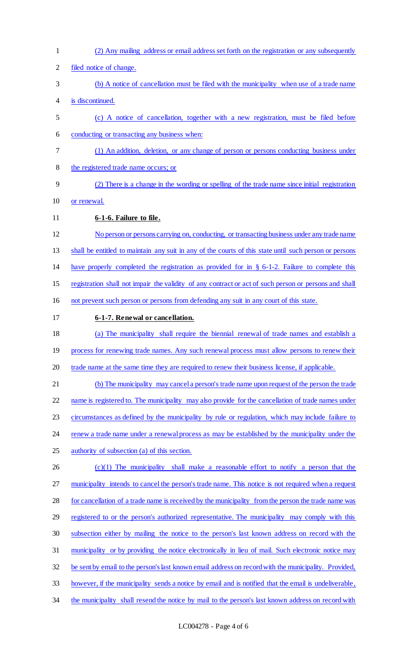(2) Any mailing address or email address set forth on the registration or any subsequently filed notice of change. (b) A notice of cancellation must be filed with the municipality when use of a trade name is discontinued. (c) A notice of cancellation, together with a new registration, must be filed before conducting or transacting any business when: (1) An addition, deletion, or any change of person or persons conducting business under the registered trade name occurs; or (2) There is a change in the wording or spelling of the trade name since initial registration or renewal. **6-1-6. Failure to file.**  No person or persons carrying on, conducting, or transacting business under any trade name shall be entitled to maintain any suit in any of the courts of this state until such person or persons have properly completed the registration as provided for in § 6-1-2. Failure to complete this registration shall not impair the validity of any contract or act of such person or persons and shall not prevent such person or persons from defending any suit in any court of this state. **6-1-7. Renewal or cancellation.**  (a) The municipality shall require the biennial renewal of trade names and establish a 19 process for renewing trade names. Any such renewal process must allow persons to renew their 20 trade name at the same time they are required to renew their business license, if applicable. (b) The municipality may cancel a person's trade name upon request of the person the trade 22 name is registered to. The municipality may also provide for the cancellation of trade names under circumstances as defined by the municipality by rule or regulation, which may include failure to 24 renew a trade name under a renewal process as may be established by the municipality under the 25 authority of subsection (a) of this section. (c)(1) The municipality shall make a reasonable effort to notify a person that the municipality intends to cancel the person's trade name. This notice is not required when a request for cancellation of a trade name is received by the municipality from the person the trade name was 29 registered to or the person's authorized representative. The municipality may comply with this subsection either by mailing the notice to the person's last known address on record with the municipality or by providing the notice electronically in lieu of mail. Such electronic notice may be sent by email to the person's last known email address on record with the municipality. Provided, however, if the municipality sends a notice by email and is notified that the email is undeliverable, 34 the municipality shall resend the notice by mail to the person's last known address on record with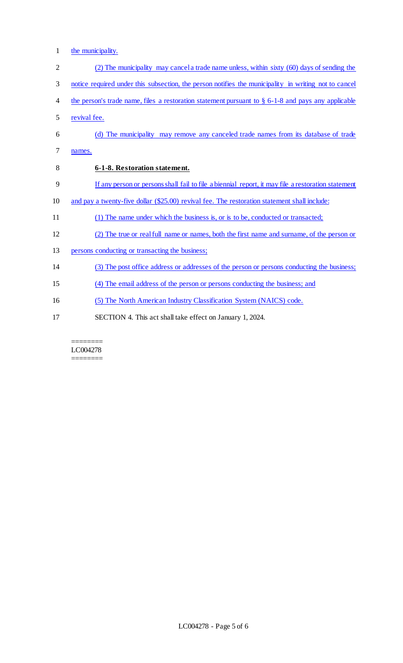1 the municipality.

| $\overline{2}$ | (2) The municipality may cancel a trade name unless, within sixty (60) days of sending the            |
|----------------|-------------------------------------------------------------------------------------------------------|
| 3              | notice required under this subsection, the person notifies the municipality in writing not to cancel  |
| 4              | the person's trade name, files a restoration statement pursuant to $\S$ 6-1-8 and pays any applicable |
| 5              | revival fee.                                                                                          |
| 6              | (d) The municipality may remove any canceled trade names from its database of trade                   |
| 7              | names.                                                                                                |
| 8              | 6-1-8. Restoration statement.                                                                         |
| 9              | If any person or persons shall fail to file a biennial report, it may file a restoration statement    |
| 10             | and pay a twenty-five dollar (\$25.00) revival fee. The restoration statement shall include:          |
| 11             | (1) The name under which the business is, or is to be, conducted or transacted;                       |
| 12             | (2) The true or real full name or names, both the first name and surname, of the person or            |
| 13             | persons conducting or transacting the business;                                                       |
| 14             | (3) The post office address or addresses of the person or persons conducting the business;            |
| 15             | (4) The email address of the person or persons conducting the business; and                           |
| 16             | (5) The North American Industry Classification System (NAICS) code.                                   |
| 17             | SECTION 4. This act shall take effect on January 1, 2024.                                             |
|                |                                                                                                       |

#### ======== LC004278 ========